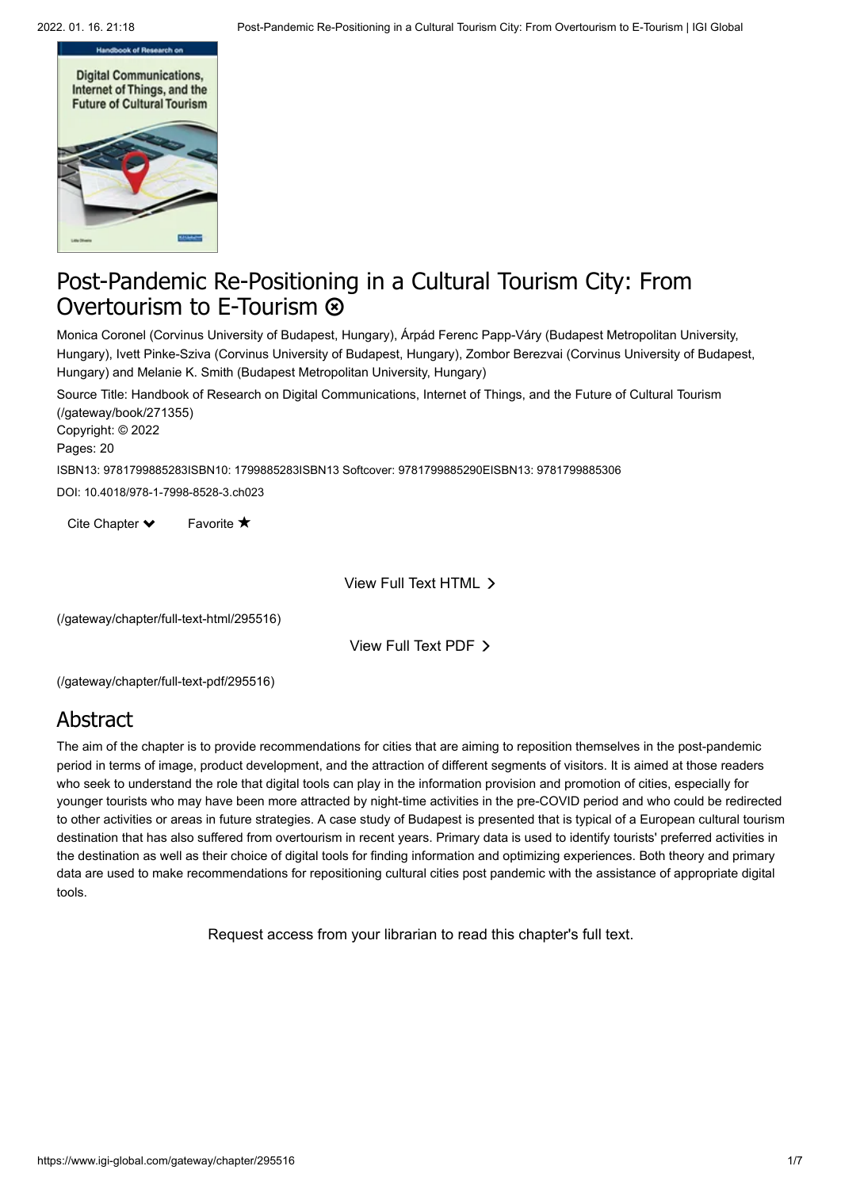

# Post-Pandemic Re-Positioning in a Cultural Tourism City: From Overtourism to E-Tourism  $\otimes$

Monica Coronel (Corvinus University of Budapest, Hungary), Árpád Ferenc Papp-Váry (Budapest Metropolitan University, Hungary), Ivett Pinke-Sziva (Corvinus University of Budapest, Hungary), Zombor Berezvai (Corvinus University of Budapest, Hungary) and Melanie K. Smith (Budapest Metropolitan University, Hungary)

[Source Title: Handbook of Research on Digital Communications, Internet of Things, and the Future of Cultural Tourism](https://www.igi-global.com/gateway/book/271355) (/gateway/book/271355)

Copyright: © 2022 Pages: 20

ISBN13: 9781799885283ISBN10: 1799885283ISBN13 Softcover: 9781799885290EISBN13: 9781799885306

DOI: 10.4018/978-1-7998-8528-3.ch023

Cite Chapter  $\blacktriangleright$ Favorite  $\bigstar$ 

View Full Text HTML

[\(/gateway/chapter/full-text-html/295516\)](https://www.igi-global.com/gateway/chapter/full-text-html/295516)

View Full Text PDF

[\(/gateway/chapter/full-text-pdf/295516\)](https://www.igi-global.com/gateway/chapter/full-text-pdf/295516)

### Abstract

The aim of the chapter is to provide recommendations for cities that are aiming to reposition themselves in the post-pandemic period in terms of image, product development, and the attraction of different segments of visitors. It is aimed at those readers who seek to understand the role that digital tools can play in the information provision and promotion of cities, especially for younger tourists who may have been more attracted by night-time activities in the pre-COVID period and who could be redirected to other activities or areas in future strategies. A case study of Budapest is presented that is typical of a European cultural tourism destination that has also suffered from overtourism in recent years. Primary data is used to identify tourists' preferred activities in the destination as well as their choice of digital tools for finding information and optimizing experiences. Both theory and primary data are used to make recommendations for repositioning cultural cities post pandemic with the assistance of appropriate digital tools.

Request access from your librarian to read this chapter's full text.